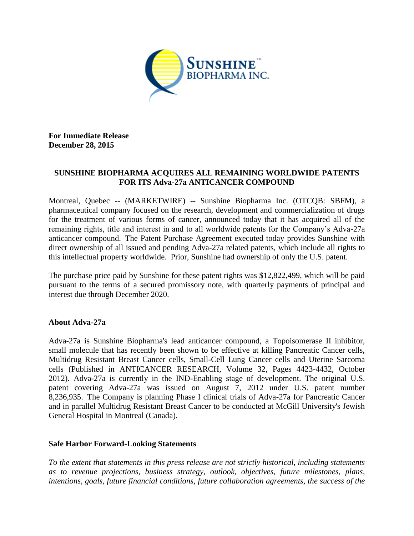

**For Immediate Release December 28, 2015**

## **SUNSHINE BIOPHARMA ACQUIRES ALL REMAINING WORLDWIDE PATENTS FOR ITS Adva-27a ANTICANCER COMPOUND**

Montreal, Quebec -- (MARKETWIRE) -- Sunshine Biopharma Inc. (OTCQB: SBFM), a pharmaceutical company focused on the research, development and commercialization of drugs for the treatment of various forms of cancer, announced today that it has acquired all of the remaining rights, title and interest in and to all worldwide patents for the Company's Adva-27a anticancer compound. The Patent Purchase Agreement executed today provides Sunshine with direct ownership of all issued and pending Adva-27a related patents, which include all rights to this intellectual property worldwide. Prior, Sunshine had ownership of only the U.S. patent.

The purchase price paid by Sunshine for these patent rights was \$12,822,499, which will be paid pursuant to the terms of a secured promissory note, with quarterly payments of principal and interest due through December 2020.

## **About Adva-27a**

Adva-27a is Sunshine Biopharma's lead anticancer compound, a Topoisomerase II inhibitor, small molecule that has recently been shown to be effective at killing Pancreatic Cancer cells, Multidrug Resistant Breast Cancer cells, Small-Cell Lung Cancer cells and Uterine Sarcoma cells (Published in ANTICANCER RESEARCH, Volume 32, Pages 4423-4432, October 2012). Adva-27a is currently in the IND-Enabling stage of development. The original U.S. patent covering Adva-27a was issued on August 7, 2012 under U.S. patent number 8,236,935. The Company is planning Phase I clinical trials of Adva-27a for Pancreatic Cancer and in parallel Multidrug Resistant Breast Cancer to be conducted at McGill University's Jewish General Hospital in Montreal (Canada).

## **Safe Harbor Forward-Looking Statements**

*To the extent that statements in this press release are not strictly historical, including statements as to revenue projections, business strategy, outlook, objectives, future milestones, plans, intentions, goals, future financial conditions, future collaboration agreements, the success of the*